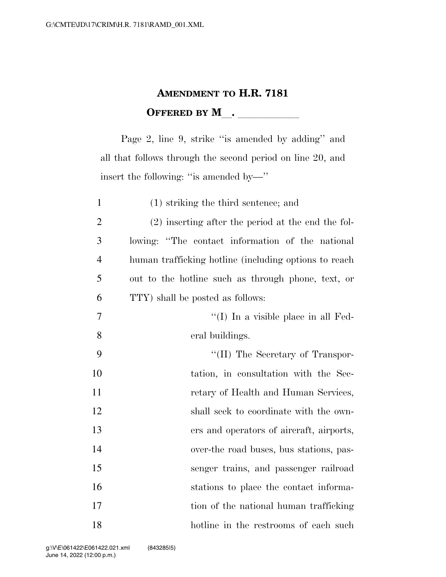## **AMENDMENT TO H.R. 7181 OFFERED BY M\_\_.** \_\_\_\_\_\_\_\_\_\_\_

Page 2, line 9, strike "is amended by adding" and all that follows through the second period on line 20, and insert the following: ''is amended by—''

| $\mathbf{1}$   | $(1)$ striking the third sentence; and                |
|----------------|-------------------------------------------------------|
| $\overline{2}$ | $(2)$ inserting after the period at the end the fol-  |
| 3              | lowing: "The contact information of the national      |
| $\overline{4}$ | human trafficking hotline (including options to reach |
| 5              | out to the hotline such as through phone, text, or    |
| 6              | TTY) shall be posted as follows:                      |
| $\overline{7}$ | $\lq\lq$ (I) In a visible place in all Fed-           |
| 8              | eral buildings.                                       |
| 9              | $\lq\lq$ (II) The Secretary of Transpor-              |
| 10             | tation, in consultation with the Sec-                 |
| 11             | retary of Health and Human Services,                  |
| 12             | shall seek to coordinate with the own-                |
| 13             | ers and operators of aircraft, airports,              |
| 14             | over-the road buses, bus stations, pas-               |
| 15             | senger trains, and passenger railroad                 |
| 16             | stations to place the contact informa-                |
| 17             | tion of the national human trafficking                |
| 18             | hotline in the restrooms of each such                 |